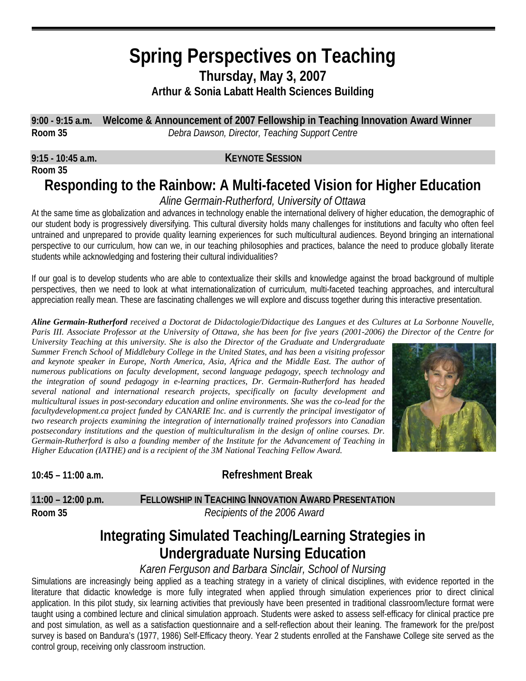# **Spring Perspectives on Teaching Thursday, May 3, 2007 Arthur & Sonia Labatt Health Sciences Building**

**9:00 - 9:15 a.m. Welcome & Announcement of 2007 Fellowship in Teaching Innovation Award Winner Room 35** *Debra Dawson, Director, Teaching Support Centre* 

**Room 35**

#### **9:15 - 10:45 a.m. KEYNOTE SESSION**

# **Responding to the Rainbow: A Multi-faceted Vision for Higher Education**

*Aline Germain-Rutherford, University of Ottawa* 

At the same time as globalization and advances in technology enable the international delivery of higher education, the demographic of our student body is progressively diversifying. This cultural diversity holds many challenges for institutions and faculty who often feel untrained and unprepared to provide quality learning experiences for such multicultural audiences. Beyond bringing an international perspective to our curriculum, how can we, in our teaching philosophies and practices, balance the need to produce globally literate students while acknowledging and fostering their cultural individualities?

If our goal is to develop students who are able to contextualize their skills and knowledge against the broad background of multiple perspectives, then we need to look at what internationalization of curriculum, multi-faceted teaching approaches, and intercultural appreciation really mean. These are fascinating challenges we will explore and discuss together during this interactive presentation.

*Aline Germain-Rutherford received a Doctorat de Didactologie/Didactique des Langues et des Cultures at La Sorbonne Nouvelle, Paris III. Associate Professor at the University of Ottawa, she has been for five years (2001-2006) the Director of the Centre for* 

*University Teaching at this university. She is also the Director of the Graduate and Undergraduate Summer French School of Middlebury College in the United States, and has been a visiting professor and keynote speaker in Europe, North America, Asia, Africa and the Middle East. The author of numerous publications on faculty development, second language pedagogy, speech technology and the integration of sound pedagogy in e-learning practices, Dr. Germain-Rutherford has headed several national and international research projects, specifically on faculty development and multicultural issues in post-secondary education and online environments. She was the co-lead for the facultydevelopment.ca project funded by CANARIE Inc. and is currently the principal investigator of two research projects examining the integration of internationally trained professors into Canadian postsecondary institutions and the question of multiculturalism in the design of online courses. Dr. Germain-Rutherford is also a founding member of the Institute for the Advancement of Teaching in Higher Education (IATHE) and is a recipient of the 3M National Teaching Fellow Award.* 



### **10:45 – 11:00 a.m. Refreshment Break**

### **11:00 – 12:00 p.m. FELLOWSHIP IN TEACHING INNOVATION AWARD PRESENTATION**

**Room 35** *Recipients of the 2006 Award*

# **Integrating Simulated Teaching/Learning Strategies in Undergraduate Nursing Education**

### *Karen Ferguson and Barbara Sinclair, School of Nursing*

Simulations are increasingly being applied as a teaching strategy in a variety of clinical disciplines, with evidence reported in the literature that didactic knowledge is more fully integrated when applied through simulation experiences prior to direct clinical application. In this pilot study, six learning activities that previously have been presented in traditional classroom/lecture format were taught using a combined lecture and clinical simulation approach. Students were asked to assess self-efficacy for clinical practice pre and post simulation, as well as a satisfaction questionnaire and a self-reflection about their leaning. The framework for the pre/post survey is based on Bandura's (1977, 1986) Self-Efficacy theory. Year 2 students enrolled at the Fanshawe College site served as the control group, receiving only classroom instruction.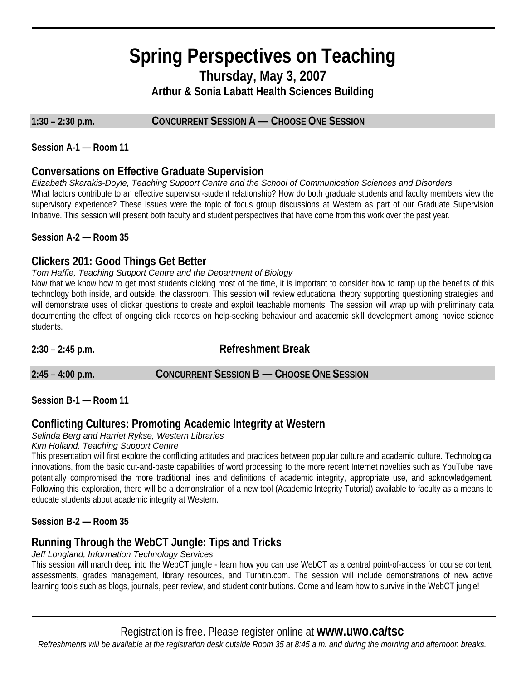# **Spring Perspectives on Teaching Thursday, May 3, 2007 Arthur & Sonia Labatt Health Sciences Building**

**1:30 – 2:30 p.m. CONCURRENT SESSION A — CHOOSE ONE SESSION**

**Session A-1 — Room 11** 

### **Conversations on Effective Graduate Supervision**

*Elizabeth Skarakis-Doyle, Teaching Support Centre and the School of Communication Sciences and Disorders*  What factors contribute to an effective supervisor-student relationship? How do both graduate students and faculty members view the supervisory experience? These issues were the topic of focus group discussions at Western as part of our Graduate Supervision Initiative. This session will present both faculty and student perspectives that have come from this work over the past year.

**Session A-2 — Room 35** 

### **Clickers 201: Good Things Get Better**

#### *Tom Haffie, Teaching Support Centre and the Department of Biology*

Now that we know how to get most students clicking most of the time, it is important to consider how to ramp up the benefits of this technology both inside, and outside, the classroom. This session will review educational theory supporting questioning strategies and will demonstrate uses of clicker questions to create and exploit teachable moments. The session will wrap up with preliminary data documenting the effect of ongoing click records on help-seeking behaviour and academic skill development among novice science students.

#### **2:30 – 2:45 p.m. Refreshment Break**

**2:45 – 4:00 p.m. CONCURRENT SESSION B — CHOOSE ONE SESSION**

**Session B-1 — Room 11** 

### **Conflicting Cultures: Promoting Academic Integrity at Western**

#### *Selinda Berg and Harriet Rykse, Western Libraries*

#### *Kim Holland, Teaching Support Centre*

This presentation will first explore the conflicting attitudes and practices between popular culture and academic culture. Technological innovations, from the basic cut-and-paste capabilities of word processing to the more recent Internet novelties such as YouTube have potentially compromised the more traditional lines and definitions of academic integrity, appropriate use, and acknowledgement. Following this exploration, there will be a demonstration of a new tool (Academic Integrity Tutorial) available to faculty as a means to educate students about academic integrity at Western.

#### **Session B-2 — Room 35**

### **Running Through the WebCT Jungle: Tips and Tricks**

*Jeff Longland, Information Technology Services*

This session will march deep into the WebCT jungle - learn how you can use WebCT as a central point-of-access for course content, assessments, grades management, library resources, and Turnitin.com. The session will include demonstrations of new active learning tools such as blogs, journals, peer review, and student contributions. Come and learn how to survive in the WebCT jungle!

Registration is free. Please register online at **www.uwo.ca/tsc**

*Refreshments will be available at the registration desk outside Room 35 at 8:45 a.m. and during the morning and afternoon breaks.*